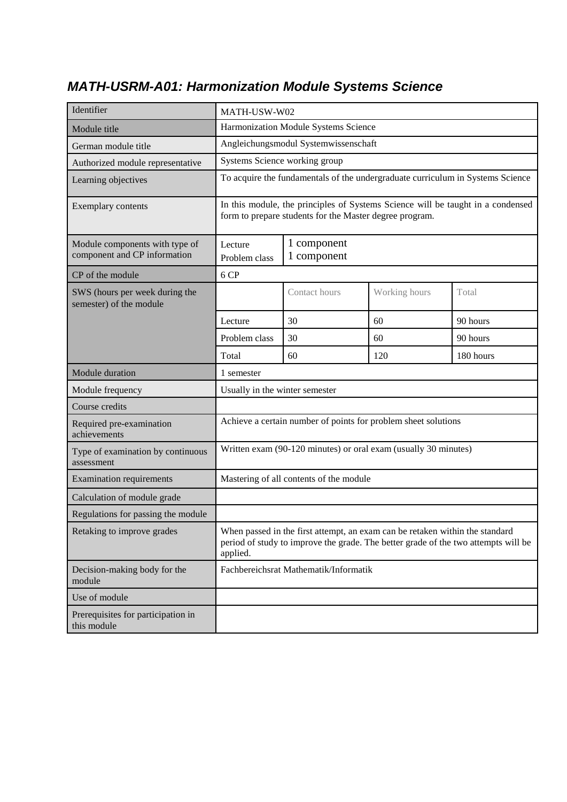| Identifier                                                     | MATH-USW-W02                                                                                                                                                                   |                                                                 |               |           |  |
|----------------------------------------------------------------|--------------------------------------------------------------------------------------------------------------------------------------------------------------------------------|-----------------------------------------------------------------|---------------|-----------|--|
| Module title                                                   |                                                                                                                                                                                | Harmonization Module Systems Science                            |               |           |  |
| German module title                                            |                                                                                                                                                                                | Angleichungsmodul Systemwissenschaft                            |               |           |  |
| Authorized module representative                               | Systems Science working group                                                                                                                                                  |                                                                 |               |           |  |
| Learning objectives                                            | To acquire the fundamentals of the undergraduate curriculum in Systems Science                                                                                                 |                                                                 |               |           |  |
| Exemplary contents                                             | In this module, the principles of Systems Science will be taught in a condensed<br>form to prepare students for the Master degree program.                                     |                                                                 |               |           |  |
| Module components with type of<br>component and CP information | 1 component<br>Lecture<br>1 component<br>Problem class                                                                                                                         |                                                                 |               |           |  |
| CP of the module                                               | 6 CP                                                                                                                                                                           |                                                                 |               |           |  |
| SWS (hours per week during the<br>semester) of the module      |                                                                                                                                                                                | Contact hours                                                   | Working hours | Total     |  |
|                                                                | Lecture                                                                                                                                                                        | 30<br>60<br>90 hours                                            |               |           |  |
|                                                                | Problem class<br>30<br>60<br>90 hours                                                                                                                                          |                                                                 |               |           |  |
|                                                                | Total                                                                                                                                                                          | 60                                                              | 120           | 180 hours |  |
| Module duration                                                | 1 semester                                                                                                                                                                     |                                                                 |               |           |  |
| Module frequency                                               | Usually in the winter semester                                                                                                                                                 |                                                                 |               |           |  |
| Course credits                                                 |                                                                                                                                                                                |                                                                 |               |           |  |
| Required pre-examination<br>achievements                       |                                                                                                                                                                                | Achieve a certain number of points for problem sheet solutions  |               |           |  |
| Type of examination by continuous<br>assessment                |                                                                                                                                                                                | Written exam (90-120 minutes) or oral exam (usually 30 minutes) |               |           |  |
| <b>Examination requirements</b>                                |                                                                                                                                                                                | Mastering of all contents of the module                         |               |           |  |
| Calculation of module grade                                    |                                                                                                                                                                                |                                                                 |               |           |  |
| Regulations for passing the module                             |                                                                                                                                                                                |                                                                 |               |           |  |
| Retaking to improve grades                                     | When passed in the first attempt, an exam can be retaken within the standard<br>period of study to improve the grade. The better grade of the two attempts will be<br>applied. |                                                                 |               |           |  |
| Decision-making body for the<br>module                         | Fachbereichsrat Mathematik/Informatik                                                                                                                                          |                                                                 |               |           |  |
| Use of module                                                  |                                                                                                                                                                                |                                                                 |               |           |  |
| Prerequisites for participation in<br>this module              |                                                                                                                                                                                |                                                                 |               |           |  |

## *MATH-USRM-A01: Harmonization Module Systems Science*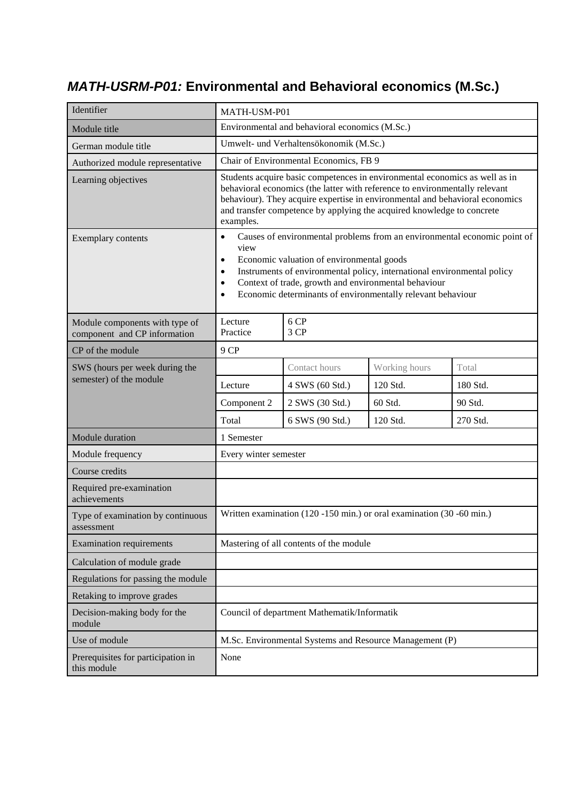#### *MATH-USRM-P01:* **Environmental and Behavioral economics (M.Sc.)**

| Identifier                                                     | MATH-USM-P01                                                                                                                                                                                                                                                                                                                                                                                     |                                                                       |          |          |
|----------------------------------------------------------------|--------------------------------------------------------------------------------------------------------------------------------------------------------------------------------------------------------------------------------------------------------------------------------------------------------------------------------------------------------------------------------------------------|-----------------------------------------------------------------------|----------|----------|
| Module title                                                   |                                                                                                                                                                                                                                                                                                                                                                                                  | Environmental and behavioral economics (M.Sc.)                        |          |          |
| German module title                                            |                                                                                                                                                                                                                                                                                                                                                                                                  | Umwelt- und Verhaltensökonomik (M.Sc.)                                |          |          |
| Authorized module representative                               |                                                                                                                                                                                                                                                                                                                                                                                                  | Chair of Environmental Economics, FB 9                                |          |          |
| Learning objectives                                            | Students acquire basic competences in environmental economics as well as in<br>behavioral economics (the latter with reference to environmentally relevant<br>behaviour). They acquire expertise in environmental and behavioral economics<br>and transfer competence by applying the acquired knowledge to concrete<br>examples.                                                                |                                                                       |          |          |
| Exemplary contents                                             | Causes of environmental problems from an environmental economic point of<br>$\bullet$<br>view<br>Economic valuation of environmental goods<br>$\bullet$<br>Instruments of environmental policy, international environmental policy<br>$\bullet$<br>Context of trade, growth and environmental behaviour<br>$\bullet$<br>Economic determinants of environmentally relevant behaviour<br>$\bullet$ |                                                                       |          |          |
| Module components with type of<br>component and CP information | 6 CP<br>Lecture<br>3 CP<br>Practice                                                                                                                                                                                                                                                                                                                                                              |                                                                       |          |          |
| CP of the module                                               | 9 CP                                                                                                                                                                                                                                                                                                                                                                                             |                                                                       |          |          |
| SWS (hours per week during the                                 | Contact hours<br>Working hours<br>Total                                                                                                                                                                                                                                                                                                                                                          |                                                                       |          |          |
| semester) of the module                                        | Lecture                                                                                                                                                                                                                                                                                                                                                                                          | 4 SWS (60 Std.)                                                       | 120 Std. | 180 Std. |
|                                                                | Component 2                                                                                                                                                                                                                                                                                                                                                                                      | 2 SWS (30 Std.)                                                       | 60 Std.  | 90 Std.  |
|                                                                | Total                                                                                                                                                                                                                                                                                                                                                                                            | 6 SWS (90 Std.)                                                       | 120 Std. | 270 Std. |
| Module duration                                                | 1 Semester                                                                                                                                                                                                                                                                                                                                                                                       |                                                                       |          |          |
| Module frequency                                               | Every winter semester                                                                                                                                                                                                                                                                                                                                                                            |                                                                       |          |          |
| Course credits                                                 |                                                                                                                                                                                                                                                                                                                                                                                                  |                                                                       |          |          |
| Required pre-examination<br>achievements                       |                                                                                                                                                                                                                                                                                                                                                                                                  |                                                                       |          |          |
| Type of examination by continuous<br>assessment                |                                                                                                                                                                                                                                                                                                                                                                                                  | Written examination (120 -150 min.) or oral examination (30 -60 min.) |          |          |
| <b>Examination requirements</b>                                |                                                                                                                                                                                                                                                                                                                                                                                                  | Mastering of all contents of the module                               |          |          |
| Calculation of module grade                                    |                                                                                                                                                                                                                                                                                                                                                                                                  |                                                                       |          |          |
| Regulations for passing the module                             |                                                                                                                                                                                                                                                                                                                                                                                                  |                                                                       |          |          |
| Retaking to improve grades                                     |                                                                                                                                                                                                                                                                                                                                                                                                  |                                                                       |          |          |
| Decision-making body for the<br>module                         | Council of department Mathematik/Informatik                                                                                                                                                                                                                                                                                                                                                      |                                                                       |          |          |
| Use of module                                                  |                                                                                                                                                                                                                                                                                                                                                                                                  | M.Sc. Environmental Systems and Resource Management (P)               |          |          |
| Prerequisites for participation in<br>this module              | None                                                                                                                                                                                                                                                                                                                                                                                             |                                                                       |          |          |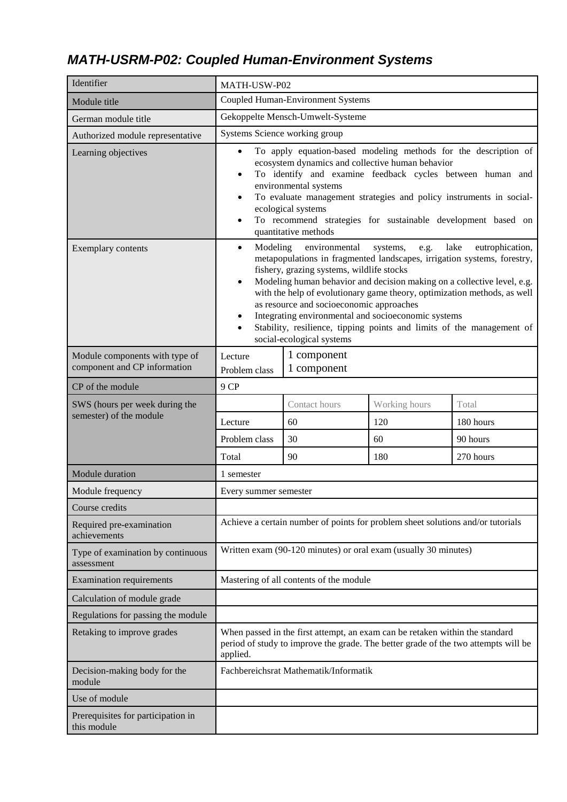## *MATH-USRM-P02: Coupled Human-Environment Systems*

| Identifier                                                     | MATH-USW-P02                                                                                                                                                                                                                                                                                                                                                                                                                                                                                                                                                                                            |                                                                                 |               |           |
|----------------------------------------------------------------|---------------------------------------------------------------------------------------------------------------------------------------------------------------------------------------------------------------------------------------------------------------------------------------------------------------------------------------------------------------------------------------------------------------------------------------------------------------------------------------------------------------------------------------------------------------------------------------------------------|---------------------------------------------------------------------------------|---------------|-----------|
| Module title                                                   |                                                                                                                                                                                                                                                                                                                                                                                                                                                                                                                                                                                                         | <b>Coupled Human-Environment Systems</b>                                        |               |           |
| German module title                                            |                                                                                                                                                                                                                                                                                                                                                                                                                                                                                                                                                                                                         | Gekoppelte Mensch-Umwelt-Systeme                                                |               |           |
| Authorized module representative                               | Systems Science working group                                                                                                                                                                                                                                                                                                                                                                                                                                                                                                                                                                           |                                                                                 |               |           |
| Learning objectives                                            | To apply equation-based modeling methods for the description of<br>$\bullet$<br>ecosystem dynamics and collective human behavior<br>To identify and examine feedback cycles between human and<br>$\bullet$<br>environmental systems<br>To evaluate management strategies and policy instruments in social-<br>$\bullet$<br>ecological systems<br>To recommend strategies for sustainable development based on<br>$\bullet$<br>quantitative methods                                                                                                                                                      |                                                                                 |               |           |
| Exemplary contents                                             | Modeling<br>lake<br>environmental<br>eutrophication,<br>systems,<br>e.g.<br>$\bullet$<br>metapopulations in fragmented landscapes, irrigation systems, forestry,<br>fishery, grazing systems, wildlife stocks<br>Modeling human behavior and decision making on a collective level, e.g.<br>$\bullet$<br>with the help of evolutionary game theory, optimization methods, as well<br>as resource and socioeconomic approaches<br>Integrating environmental and socioeconomic systems<br>$\bullet$<br>Stability, resilience, tipping points and limits of the management of<br>social-ecological systems |                                                                                 |               |           |
| Module components with type of<br>component and CP information | 1 component<br>Lecture<br>1 component<br>Problem class                                                                                                                                                                                                                                                                                                                                                                                                                                                                                                                                                  |                                                                                 |               |           |
| CP of the module                                               | 9 CP                                                                                                                                                                                                                                                                                                                                                                                                                                                                                                                                                                                                    |                                                                                 |               |           |
| SWS (hours per week during the                                 |                                                                                                                                                                                                                                                                                                                                                                                                                                                                                                                                                                                                         | Contact hours                                                                   | Working hours | Total     |
| semester) of the module                                        | Lecture                                                                                                                                                                                                                                                                                                                                                                                                                                                                                                                                                                                                 | 60                                                                              | 120           | 180 hours |
|                                                                | Problem class                                                                                                                                                                                                                                                                                                                                                                                                                                                                                                                                                                                           | 30                                                                              | 60            | 90 hours  |
|                                                                | Total                                                                                                                                                                                                                                                                                                                                                                                                                                                                                                                                                                                                   | 90                                                                              | 180           | 270 hours |
| Module duration                                                | 1 semester                                                                                                                                                                                                                                                                                                                                                                                                                                                                                                                                                                                              |                                                                                 |               |           |
| Module frequency                                               | Every summer semester                                                                                                                                                                                                                                                                                                                                                                                                                                                                                                                                                                                   |                                                                                 |               |           |
| Course credits                                                 |                                                                                                                                                                                                                                                                                                                                                                                                                                                                                                                                                                                                         |                                                                                 |               |           |
| Required pre-examination<br>achievements                       |                                                                                                                                                                                                                                                                                                                                                                                                                                                                                                                                                                                                         | Achieve a certain number of points for problem sheet solutions and/or tutorials |               |           |
| Type of examination by continuous<br>assessment                |                                                                                                                                                                                                                                                                                                                                                                                                                                                                                                                                                                                                         | Written exam (90-120 minutes) or oral exam (usually 30 minutes)                 |               |           |
| <b>Examination requirements</b>                                |                                                                                                                                                                                                                                                                                                                                                                                                                                                                                                                                                                                                         | Mastering of all contents of the module                                         |               |           |
| Calculation of module grade                                    |                                                                                                                                                                                                                                                                                                                                                                                                                                                                                                                                                                                                         |                                                                                 |               |           |
| Regulations for passing the module                             |                                                                                                                                                                                                                                                                                                                                                                                                                                                                                                                                                                                                         |                                                                                 |               |           |
| Retaking to improve grades                                     | When passed in the first attempt, an exam can be retaken within the standard<br>period of study to improve the grade. The better grade of the two attempts will be<br>applied.                                                                                                                                                                                                                                                                                                                                                                                                                          |                                                                                 |               |           |
| Decision-making body for the<br>module                         |                                                                                                                                                                                                                                                                                                                                                                                                                                                                                                                                                                                                         | Fachbereichsrat Mathematik/Informatik                                           |               |           |
| Use of module                                                  |                                                                                                                                                                                                                                                                                                                                                                                                                                                                                                                                                                                                         |                                                                                 |               |           |
| Prerequisites for participation in<br>this module              |                                                                                                                                                                                                                                                                                                                                                                                                                                                                                                                                                                                                         |                                                                                 |               |           |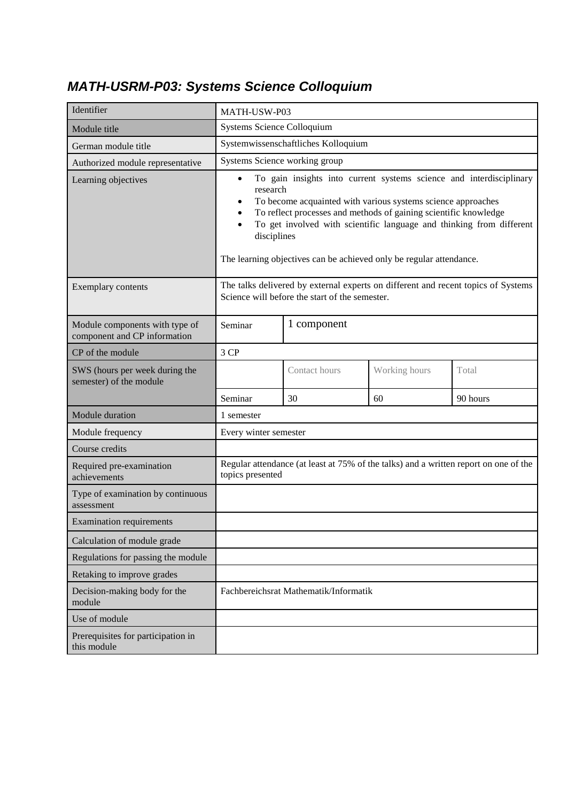### *MATH-USRM-P03: Systems Science Colloquium*

| Identifier                                                     | MATH-USW-P03                                                                                                                                                                                                                                                                                                                                                                                                                          |                                                                                      |               |          |
|----------------------------------------------------------------|---------------------------------------------------------------------------------------------------------------------------------------------------------------------------------------------------------------------------------------------------------------------------------------------------------------------------------------------------------------------------------------------------------------------------------------|--------------------------------------------------------------------------------------|---------------|----------|
| Module title                                                   | Systems Science Colloquium                                                                                                                                                                                                                                                                                                                                                                                                            |                                                                                      |               |          |
| German module title                                            |                                                                                                                                                                                                                                                                                                                                                                                                                                       | Systemwissenschaftliches Kolloquium                                                  |               |          |
| Authorized module representative                               | Systems Science working group                                                                                                                                                                                                                                                                                                                                                                                                         |                                                                                      |               |          |
| Learning objectives                                            | To gain insights into current systems science and interdisciplinary<br>$\bullet$<br>research<br>To become acquainted with various systems science approaches<br>$\bullet$<br>To reflect processes and methods of gaining scientific knowledge<br>$\bullet$<br>To get involved with scientific language and thinking from different<br>$\bullet$<br>disciplines<br>The learning objectives can be achieved only be regular attendance. |                                                                                      |               |          |
| Exemplary contents                                             | The talks delivered by external experts on different and recent topics of Systems<br>Science will before the start of the semester.                                                                                                                                                                                                                                                                                                   |                                                                                      |               |          |
| Module components with type of<br>component and CP information | 1 component<br>Seminar                                                                                                                                                                                                                                                                                                                                                                                                                |                                                                                      |               |          |
| CP of the module                                               | 3 CP                                                                                                                                                                                                                                                                                                                                                                                                                                  |                                                                                      |               |          |
| SWS (hours per week during the<br>semester) of the module      |                                                                                                                                                                                                                                                                                                                                                                                                                                       | Contact hours                                                                        | Working hours | Total    |
|                                                                | Seminar                                                                                                                                                                                                                                                                                                                                                                                                                               | 30                                                                                   | 60            | 90 hours |
| Module duration                                                | 1 semester                                                                                                                                                                                                                                                                                                                                                                                                                            |                                                                                      |               |          |
| Module frequency                                               | Every winter semester                                                                                                                                                                                                                                                                                                                                                                                                                 |                                                                                      |               |          |
| Course credits                                                 |                                                                                                                                                                                                                                                                                                                                                                                                                                       |                                                                                      |               |          |
| Required pre-examination<br>achievements                       | topics presented                                                                                                                                                                                                                                                                                                                                                                                                                      | Regular attendance (at least at 75% of the talks) and a written report on one of the |               |          |
| Type of examination by continuous<br>assessment                |                                                                                                                                                                                                                                                                                                                                                                                                                                       |                                                                                      |               |          |
| <b>Examination requirements</b>                                |                                                                                                                                                                                                                                                                                                                                                                                                                                       |                                                                                      |               |          |
| Calculation of module grade                                    |                                                                                                                                                                                                                                                                                                                                                                                                                                       |                                                                                      |               |          |
| Regulations for passing the module                             |                                                                                                                                                                                                                                                                                                                                                                                                                                       |                                                                                      |               |          |
| Retaking to improve grades                                     |                                                                                                                                                                                                                                                                                                                                                                                                                                       |                                                                                      |               |          |
| Decision-making body for the<br>module                         | Fachbereichsrat Mathematik/Informatik                                                                                                                                                                                                                                                                                                                                                                                                 |                                                                                      |               |          |
| Use of module                                                  |                                                                                                                                                                                                                                                                                                                                                                                                                                       |                                                                                      |               |          |
| Prerequisites for participation in<br>this module              |                                                                                                                                                                                                                                                                                                                                                                                                                                       |                                                                                      |               |          |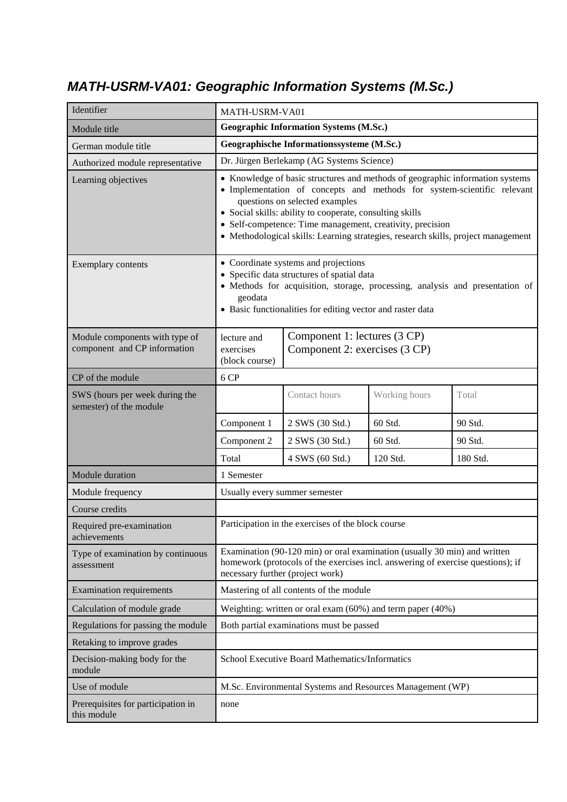## *MATH-USRM-VA01: Geographic Information Systems (M.Sc.)*

| Identifier                                                     | MATH-USRM-VA01                                                                                                                                                                                                                                                                                                                                                                                           |                                                                                                                                                              |          |          |
|----------------------------------------------------------------|----------------------------------------------------------------------------------------------------------------------------------------------------------------------------------------------------------------------------------------------------------------------------------------------------------------------------------------------------------------------------------------------------------|--------------------------------------------------------------------------------------------------------------------------------------------------------------|----------|----------|
| Module title                                                   |                                                                                                                                                                                                                                                                                                                                                                                                          | <b>Geographic Information Systems (M.Sc.)</b>                                                                                                                |          |          |
| German module title                                            |                                                                                                                                                                                                                                                                                                                                                                                                          | Geographische Informationssysteme (M.Sc.)                                                                                                                    |          |          |
| Authorized module representative                               |                                                                                                                                                                                                                                                                                                                                                                                                          | Dr. Jürgen Berlekamp (AG Systems Science)                                                                                                                    |          |          |
| Learning objectives                                            | • Knowledge of basic structures and methods of geographic information systems<br>· Implementation of concepts and methods for system-scientific relevant<br>questions on selected examples<br>• Social skills: ability to cooperate, consulting skills<br>• Self-competence: Time management, creativity, precision<br>• Methodological skills: Learning strategies, research skills, project management |                                                                                                                                                              |          |          |
| Exemplary contents                                             | • Coordinate systems and projections<br>• Specific data structures of spatial data<br>· Methods for acquisition, storage, processing, analysis and presentation of<br>geodata<br>• Basic functionalities for editing vector and raster data                                                                                                                                                              |                                                                                                                                                              |          |          |
| Module components with type of<br>component and CP information | Component 1: lectures (3 CP)<br>lecture and<br>Component 2: exercises (3 CP)<br>exercises<br>(block course)                                                                                                                                                                                                                                                                                              |                                                                                                                                                              |          |          |
| CP of the module                                               | 6 CP                                                                                                                                                                                                                                                                                                                                                                                                     |                                                                                                                                                              |          |          |
| SWS (hours per week during the<br>semester) of the module      |                                                                                                                                                                                                                                                                                                                                                                                                          | Contact hours<br>Working hours<br>Total                                                                                                                      |          |          |
|                                                                | Component 1                                                                                                                                                                                                                                                                                                                                                                                              | 2 SWS (30 Std.)                                                                                                                                              | 60 Std.  | 90 Std.  |
|                                                                | Component 2                                                                                                                                                                                                                                                                                                                                                                                              | 2 SWS (30 Std.)                                                                                                                                              | 60 Std.  | 90 Std.  |
|                                                                | Total                                                                                                                                                                                                                                                                                                                                                                                                    | 4 SWS (60 Std.)                                                                                                                                              | 120 Std. | 180 Std. |
| Module duration                                                | 1 Semester                                                                                                                                                                                                                                                                                                                                                                                               |                                                                                                                                                              |          |          |
| Module frequency                                               | Usually every summer semester                                                                                                                                                                                                                                                                                                                                                                            |                                                                                                                                                              |          |          |
| Course credits                                                 |                                                                                                                                                                                                                                                                                                                                                                                                          |                                                                                                                                                              |          |          |
| Required pre-examination<br>achievements                       |                                                                                                                                                                                                                                                                                                                                                                                                          | Participation in the exercises of the block course                                                                                                           |          |          |
| Type of examination by continuous<br>assessment                | necessary further (project work)                                                                                                                                                                                                                                                                                                                                                                         | Examination (90-120 min) or oral examination (usually 30 min) and written<br>homework (protocols of the exercises incl. answering of exercise questions); if |          |          |
| <b>Examination requirements</b>                                |                                                                                                                                                                                                                                                                                                                                                                                                          | Mastering of all contents of the module                                                                                                                      |          |          |
| Calculation of module grade                                    |                                                                                                                                                                                                                                                                                                                                                                                                          | Weighting: written or oral exam (60%) and term paper (40%)                                                                                                   |          |          |
| Regulations for passing the module                             |                                                                                                                                                                                                                                                                                                                                                                                                          | Both partial examinations must be passed                                                                                                                     |          |          |
| Retaking to improve grades                                     |                                                                                                                                                                                                                                                                                                                                                                                                          |                                                                                                                                                              |          |          |
| Decision-making body for the<br>module                         |                                                                                                                                                                                                                                                                                                                                                                                                          | School Executive Board Mathematics/Informatics                                                                                                               |          |          |
| Use of module                                                  |                                                                                                                                                                                                                                                                                                                                                                                                          | M.Sc. Environmental Systems and Resources Management (WP)                                                                                                    |          |          |
| Prerequisites for participation in<br>this module              | none                                                                                                                                                                                                                                                                                                                                                                                                     |                                                                                                                                                              |          |          |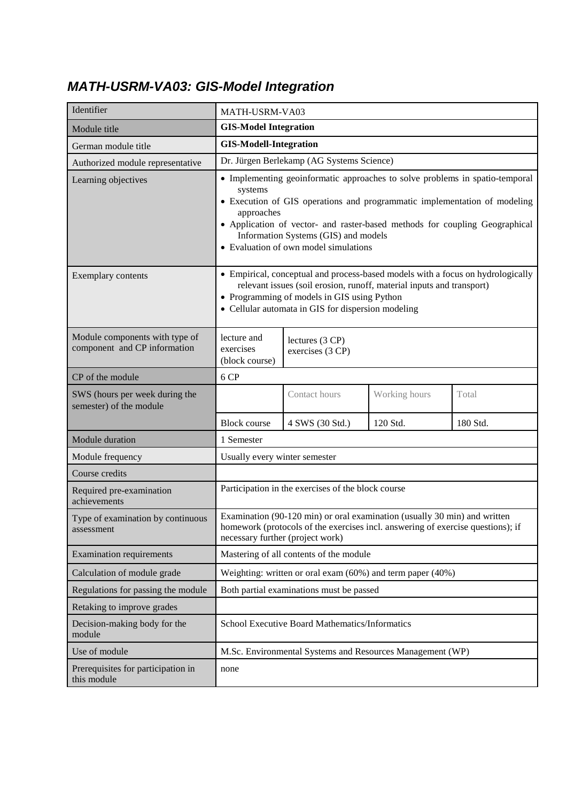#### *MATH-USRM-VA03: GIS-Model Integration*

| Identifier                                                     |                                                                                                                                                                                                                                                                                                                                                    | MATH-USRM-VA03                                                                                                                                               |          |          |  |
|----------------------------------------------------------------|----------------------------------------------------------------------------------------------------------------------------------------------------------------------------------------------------------------------------------------------------------------------------------------------------------------------------------------------------|--------------------------------------------------------------------------------------------------------------------------------------------------------------|----------|----------|--|
| Module title                                                   | <b>GIS-Model Integration</b>                                                                                                                                                                                                                                                                                                                       |                                                                                                                                                              |          |          |  |
| German module title                                            | <b>GIS-Modell-Integration</b>                                                                                                                                                                                                                                                                                                                      |                                                                                                                                                              |          |          |  |
| Authorized module representative                               |                                                                                                                                                                                                                                                                                                                                                    | Dr. Jürgen Berlekamp (AG Systems Science)                                                                                                                    |          |          |  |
| Learning objectives                                            | • Implementing geoinformatic approaches to solve problems in spatio-temporal<br>systems<br>• Execution of GIS operations and programmatic implementation of modeling<br>approaches<br>• Application of vector- and raster-based methods for coupling Geographical<br>Information Systems (GIS) and models<br>• Evaluation of own model simulations |                                                                                                                                                              |          |          |  |
| Exemplary contents                                             | • Empirical, conceptual and process-based models with a focus on hydrologically<br>relevant issues (soil erosion, runoff, material inputs and transport)<br>• Programming of models in GIS using Python<br>• Cellular automata in GIS for dispersion modeling                                                                                      |                                                                                                                                                              |          |          |  |
| Module components with type of<br>component and CP information | lecture and<br>lectures (3 CP)<br>exercises<br>exercises (3 CP)<br>(block course)                                                                                                                                                                                                                                                                  |                                                                                                                                                              |          |          |  |
| CP of the module                                               | 6 CP                                                                                                                                                                                                                                                                                                                                               |                                                                                                                                                              |          |          |  |
| SWS (hours per week during the<br>semester) of the module      |                                                                                                                                                                                                                                                                                                                                                    | Contact hours<br>Working hours<br>Total                                                                                                                      |          |          |  |
|                                                                | <b>Block course</b>                                                                                                                                                                                                                                                                                                                                | 4 SWS (30 Std.)                                                                                                                                              | 120 Std. | 180 Std. |  |
| Module duration                                                | 1 Semester                                                                                                                                                                                                                                                                                                                                         |                                                                                                                                                              |          |          |  |
| Module frequency                                               | Usually every winter semester                                                                                                                                                                                                                                                                                                                      |                                                                                                                                                              |          |          |  |
| Course credits                                                 |                                                                                                                                                                                                                                                                                                                                                    |                                                                                                                                                              |          |          |  |
| Required pre-examination<br>achievements                       |                                                                                                                                                                                                                                                                                                                                                    | Participation in the exercises of the block course                                                                                                           |          |          |  |
| Type of examination by continuous<br>assessment                | necessary further (project work)                                                                                                                                                                                                                                                                                                                   | Examination (90-120 min) or oral examination (usually 30 min) and written<br>homework (protocols of the exercises incl. answering of exercise questions); if |          |          |  |
| <b>Examination requirements</b>                                |                                                                                                                                                                                                                                                                                                                                                    | Mastering of all contents of the module                                                                                                                      |          |          |  |
| Calculation of module grade                                    |                                                                                                                                                                                                                                                                                                                                                    | Weighting: written or oral exam (60%) and term paper (40%)                                                                                                   |          |          |  |
| Regulations for passing the module                             |                                                                                                                                                                                                                                                                                                                                                    | Both partial examinations must be passed                                                                                                                     |          |          |  |
| Retaking to improve grades                                     |                                                                                                                                                                                                                                                                                                                                                    |                                                                                                                                                              |          |          |  |
| Decision-making body for the<br>module                         | School Executive Board Mathematics/Informatics                                                                                                                                                                                                                                                                                                     |                                                                                                                                                              |          |          |  |
| Use of module                                                  |                                                                                                                                                                                                                                                                                                                                                    | M.Sc. Environmental Systems and Resources Management (WP)                                                                                                    |          |          |  |
| Prerequisites for participation in<br>this module              | none                                                                                                                                                                                                                                                                                                                                               |                                                                                                                                                              |          |          |  |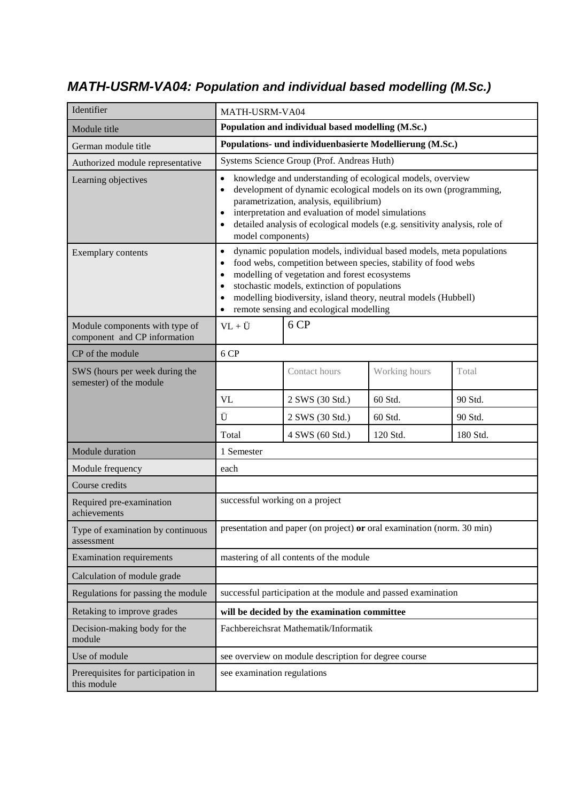#### *MATH-USRM-VA04: Population and individual based modelling (M.Sc.)*

| Identifier                                                     | MATH-USRM-VA04                                                                                                                                                                                                                                                                                                                                                                               |                                                                        |          |          |
|----------------------------------------------------------------|----------------------------------------------------------------------------------------------------------------------------------------------------------------------------------------------------------------------------------------------------------------------------------------------------------------------------------------------------------------------------------------------|------------------------------------------------------------------------|----------|----------|
| Module title                                                   |                                                                                                                                                                                                                                                                                                                                                                                              | Population and individual based modelling (M.Sc.)                      |          |          |
| German module title                                            |                                                                                                                                                                                                                                                                                                                                                                                              | Populations- und individuenbasierte Modellierung (M.Sc.)               |          |          |
| Authorized module representative                               |                                                                                                                                                                                                                                                                                                                                                                                              | Systems Science Group (Prof. Andreas Huth)                             |          |          |
| Learning objectives                                            | knowledge and understanding of ecological models, overview<br>development of dynamic ecological models on its own (programming,<br>$\bullet$<br>parametrization, analysis, equilibrium)<br>interpretation and evaluation of model simulations<br>detailed analysis of ecological models (e.g. sensitivity analysis, role of<br>model components)                                             |                                                                        |          |          |
| Exemplary contents                                             | dynamic population models, individual based models, meta populations<br>$\bullet$<br>food webs, competition between species, stability of food webs<br>modelling of vegetation and forest ecosystems<br>stochastic models, extinction of populations<br>$\bullet$<br>modelling biodiversity, island theory, neutral models (Hubbell)<br>remote sensing and ecological modelling<br>$\bullet$ |                                                                        |          |          |
| Module components with type of<br>component and CP information | 6 CP<br>$VL + \ddot{U}$                                                                                                                                                                                                                                                                                                                                                                      |                                                                        |          |          |
| CP of the module                                               | 6 CP                                                                                                                                                                                                                                                                                                                                                                                         |                                                                        |          |          |
| SWS (hours per week during the<br>semester) of the module      | Contact hours<br>Working hours<br>Total                                                                                                                                                                                                                                                                                                                                                      |                                                                        |          |          |
|                                                                | VL<br>2 SWS (30 Std.)<br>60 Std.<br>90 Std.                                                                                                                                                                                                                                                                                                                                                  |                                                                        |          |          |
|                                                                | Ü                                                                                                                                                                                                                                                                                                                                                                                            | 2 SWS (30 Std.)                                                        | 60 Std.  | 90 Std.  |
|                                                                | Total                                                                                                                                                                                                                                                                                                                                                                                        | 4 SWS (60 Std.)                                                        | 120 Std. | 180 Std. |
| Module duration                                                | 1 Semester                                                                                                                                                                                                                                                                                                                                                                                   |                                                                        |          |          |
| Module frequency                                               | each                                                                                                                                                                                                                                                                                                                                                                                         |                                                                        |          |          |
| Course credits                                                 |                                                                                                                                                                                                                                                                                                                                                                                              |                                                                        |          |          |
| Required pre-examination<br>achievements                       | successful working on a project                                                                                                                                                                                                                                                                                                                                                              |                                                                        |          |          |
| Type of examination by continuous<br>assessment                |                                                                                                                                                                                                                                                                                                                                                                                              | presentation and paper (on project) or oral examination (norm. 30 min) |          |          |
| <b>Examination requirements</b>                                |                                                                                                                                                                                                                                                                                                                                                                                              | mastering of all contents of the module                                |          |          |
| Calculation of module grade                                    |                                                                                                                                                                                                                                                                                                                                                                                              |                                                                        |          |          |
| Regulations for passing the module                             |                                                                                                                                                                                                                                                                                                                                                                                              | successful participation at the module and passed examination          |          |          |
| Retaking to improve grades                                     |                                                                                                                                                                                                                                                                                                                                                                                              | will be decided by the examination committee                           |          |          |
| Decision-making body for the<br>module                         | Fachbereichsrat Mathematik/Informatik                                                                                                                                                                                                                                                                                                                                                        |                                                                        |          |          |
| Use of module                                                  |                                                                                                                                                                                                                                                                                                                                                                                              | see overview on module description for degree course                   |          |          |
| Prerequisites for participation in<br>this module              | see examination regulations                                                                                                                                                                                                                                                                                                                                                                  |                                                                        |          |          |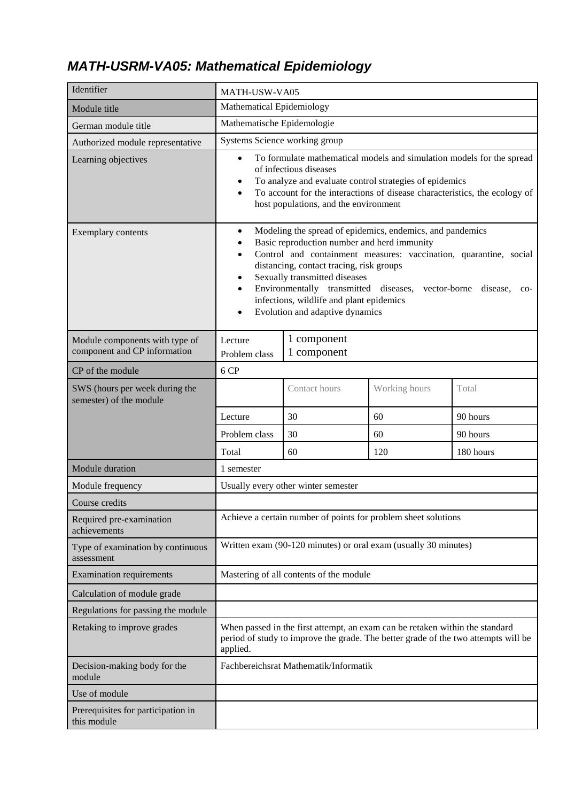## *MATH-USRM-VA05: Mathematical Epidemiology*

| Identifier                                                     | MATH-USW-VA05                                                                                                                                                                                                                                                                                                                                                                                                                                                                                |                                                                 |     |           |  |
|----------------------------------------------------------------|----------------------------------------------------------------------------------------------------------------------------------------------------------------------------------------------------------------------------------------------------------------------------------------------------------------------------------------------------------------------------------------------------------------------------------------------------------------------------------------------|-----------------------------------------------------------------|-----|-----------|--|
| Module title                                                   | Mathematical Epidemiology                                                                                                                                                                                                                                                                                                                                                                                                                                                                    |                                                                 |     |           |  |
| German module title                                            | Mathematische Epidemologie                                                                                                                                                                                                                                                                                                                                                                                                                                                                   |                                                                 |     |           |  |
| Authorized module representative                               |                                                                                                                                                                                                                                                                                                                                                                                                                                                                                              | Systems Science working group                                   |     |           |  |
| Learning objectives                                            | To formulate mathematical models and simulation models for the spread<br>$\bullet$<br>of infectious diseases<br>To analyze and evaluate control strategies of epidemics<br>٠<br>To account for the interactions of disease characteristics, the ecology of<br>$\bullet$<br>host populations, and the environment                                                                                                                                                                             |                                                                 |     |           |  |
| Exemplary contents                                             | Modeling the spread of epidemics, endemics, and pandemics<br>$\bullet$<br>Basic reproduction number and herd immunity<br>Control and containment measures: vaccination, quarantine, social<br>$\bullet$<br>distancing, contact tracing, risk groups<br>Sexually transmitted diseases<br>$\bullet$<br>Environmentally transmitted diseases,<br>vector-borne disease,<br>$\bullet$<br>$_{\rm CO-}$<br>infections, wildlife and plant epidemics<br>Evolution and adaptive dynamics<br>$\bullet$ |                                                                 |     |           |  |
| Module components with type of<br>component and CP information | 1 component<br>Lecture<br>1 component<br>Problem class                                                                                                                                                                                                                                                                                                                                                                                                                                       |                                                                 |     |           |  |
| CP of the module                                               | 6 CP                                                                                                                                                                                                                                                                                                                                                                                                                                                                                         |                                                                 |     |           |  |
| SWS (hours per week during the<br>semester) of the module      |                                                                                                                                                                                                                                                                                                                                                                                                                                                                                              | Contact hours<br>Working hours<br>Total                         |     |           |  |
|                                                                | 30<br>60<br>90 hours<br>Lecture                                                                                                                                                                                                                                                                                                                                                                                                                                                              |                                                                 |     |           |  |
|                                                                | Problem class                                                                                                                                                                                                                                                                                                                                                                                                                                                                                | 30                                                              | 60  | 90 hours  |  |
|                                                                | Total                                                                                                                                                                                                                                                                                                                                                                                                                                                                                        | 60                                                              | 120 | 180 hours |  |
| Module duration                                                | 1 semester                                                                                                                                                                                                                                                                                                                                                                                                                                                                                   |                                                                 |     |           |  |
| Module frequency                                               |                                                                                                                                                                                                                                                                                                                                                                                                                                                                                              | Usually every other winter semester                             |     |           |  |
| Course credits                                                 |                                                                                                                                                                                                                                                                                                                                                                                                                                                                                              |                                                                 |     |           |  |
| Required pre-examination<br>achievements                       |                                                                                                                                                                                                                                                                                                                                                                                                                                                                                              | Achieve a certain number of points for problem sheet solutions  |     |           |  |
| Type of examination by continuous<br>assessment                |                                                                                                                                                                                                                                                                                                                                                                                                                                                                                              | Written exam (90-120 minutes) or oral exam (usually 30 minutes) |     |           |  |
| <b>Examination requirements</b>                                |                                                                                                                                                                                                                                                                                                                                                                                                                                                                                              | Mastering of all contents of the module                         |     |           |  |
| Calculation of module grade                                    |                                                                                                                                                                                                                                                                                                                                                                                                                                                                                              |                                                                 |     |           |  |
| Regulations for passing the module                             |                                                                                                                                                                                                                                                                                                                                                                                                                                                                                              |                                                                 |     |           |  |
| Retaking to improve grades                                     | When passed in the first attempt, an exam can be retaken within the standard<br>period of study to improve the grade. The better grade of the two attempts will be<br>applied.                                                                                                                                                                                                                                                                                                               |                                                                 |     |           |  |
| Decision-making body for the<br>module                         |                                                                                                                                                                                                                                                                                                                                                                                                                                                                                              | Fachbereichsrat Mathematik/Informatik                           |     |           |  |
| Use of module                                                  |                                                                                                                                                                                                                                                                                                                                                                                                                                                                                              |                                                                 |     |           |  |
| Prerequisites for participation in<br>this module              |                                                                                                                                                                                                                                                                                                                                                                                                                                                                                              |                                                                 |     |           |  |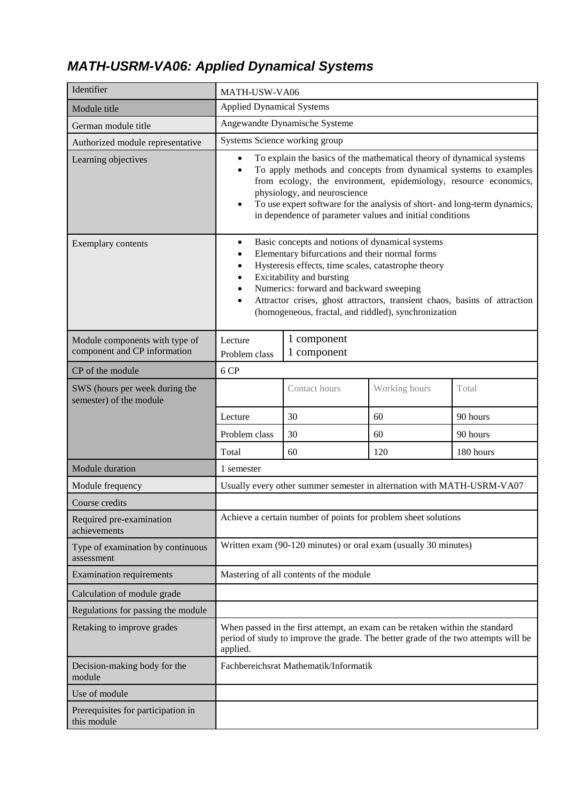## *MATH-USRM-VA06: Applied Dynamical Systems*

| Identifier                                                     | MATH-USW-VA06                                                                                                                                                                                                                                                                                                                                                                                                                 |                                                                        |     |           |
|----------------------------------------------------------------|-------------------------------------------------------------------------------------------------------------------------------------------------------------------------------------------------------------------------------------------------------------------------------------------------------------------------------------------------------------------------------------------------------------------------------|------------------------------------------------------------------------|-----|-----------|
| Module title                                                   | <b>Applied Dynamical Systems</b>                                                                                                                                                                                                                                                                                                                                                                                              |                                                                        |     |           |
| German module title                                            |                                                                                                                                                                                                                                                                                                                                                                                                                               | Angewandte Dynamische Systeme                                          |     |           |
| Authorized module representative                               | Systems Science working group                                                                                                                                                                                                                                                                                                                                                                                                 |                                                                        |     |           |
| Learning objectives                                            | To explain the basics of the mathematical theory of dynamical systems<br>$\bullet$<br>To apply methods and concepts from dynamical systems to examples<br>$\bullet$<br>from ecology, the environment, epidemiology, resource economics,<br>physiology, and neuroscience<br>To use expert software for the analysis of short- and long-term dynamics,<br>$\bullet$<br>in dependence of parameter values and initial conditions |                                                                        |     |           |
| Exemplary contents                                             | Basic concepts and notions of dynamical systems<br>$\bullet$<br>Elementary bifurcations and their normal forms<br>Hysteresis effects, time scales, catastrophe theory<br>٠<br>Excitability and bursting<br>Numerics: forward and backward sweeping<br>Attractor crises, ghost attractors, transient chaos, basins of attraction<br>٠<br>(homogeneous, fractal, and riddled), synchronization                                  |                                                                        |     |           |
| Module components with type of<br>component and CP information | 1 component<br>Lecture<br>1 component<br>Problem class                                                                                                                                                                                                                                                                                                                                                                        |                                                                        |     |           |
| CP of the module                                               | 6 CP                                                                                                                                                                                                                                                                                                                                                                                                                          |                                                                        |     |           |
| SWS (hours per week during the<br>semester) of the module      | Contact hours<br>Working hours<br>Total                                                                                                                                                                                                                                                                                                                                                                                       |                                                                        |     |           |
|                                                                | Lecture                                                                                                                                                                                                                                                                                                                                                                                                                       | 30                                                                     | 60  | 90 hours  |
|                                                                | Problem class                                                                                                                                                                                                                                                                                                                                                                                                                 | 30                                                                     | 60  | 90 hours  |
|                                                                | Total                                                                                                                                                                                                                                                                                                                                                                                                                         | 60                                                                     | 120 | 180 hours |
| Module duration                                                | 1 semester                                                                                                                                                                                                                                                                                                                                                                                                                    |                                                                        |     |           |
| Module frequency                                               |                                                                                                                                                                                                                                                                                                                                                                                                                               | Usually every other summer semester in alternation with MATH-USRM-VA07 |     |           |
| Course credits                                                 |                                                                                                                                                                                                                                                                                                                                                                                                                               |                                                                        |     |           |
| Required pre-examination<br>achievements                       |                                                                                                                                                                                                                                                                                                                                                                                                                               | Achieve a certain number of points for problem sheet solutions         |     |           |
| Type of examination by continuous<br>assessment                |                                                                                                                                                                                                                                                                                                                                                                                                                               | Written exam (90-120 minutes) or oral exam (usually 30 minutes)        |     |           |
| <b>Examination requirements</b>                                |                                                                                                                                                                                                                                                                                                                                                                                                                               | Mastering of all contents of the module                                |     |           |
| Calculation of module grade                                    |                                                                                                                                                                                                                                                                                                                                                                                                                               |                                                                        |     |           |
| Regulations for passing the module                             |                                                                                                                                                                                                                                                                                                                                                                                                                               |                                                                        |     |           |
| Retaking to improve grades                                     | When passed in the first attempt, an exam can be retaken within the standard<br>period of study to improve the grade. The better grade of the two attempts will be<br>applied.                                                                                                                                                                                                                                                |                                                                        |     |           |
| Decision-making body for the<br>module                         |                                                                                                                                                                                                                                                                                                                                                                                                                               | Fachbereichsrat Mathematik/Informatik                                  |     |           |
| Use of module                                                  |                                                                                                                                                                                                                                                                                                                                                                                                                               |                                                                        |     |           |
| Prerequisites for participation in<br>this module              |                                                                                                                                                                                                                                                                                                                                                                                                                               |                                                                        |     |           |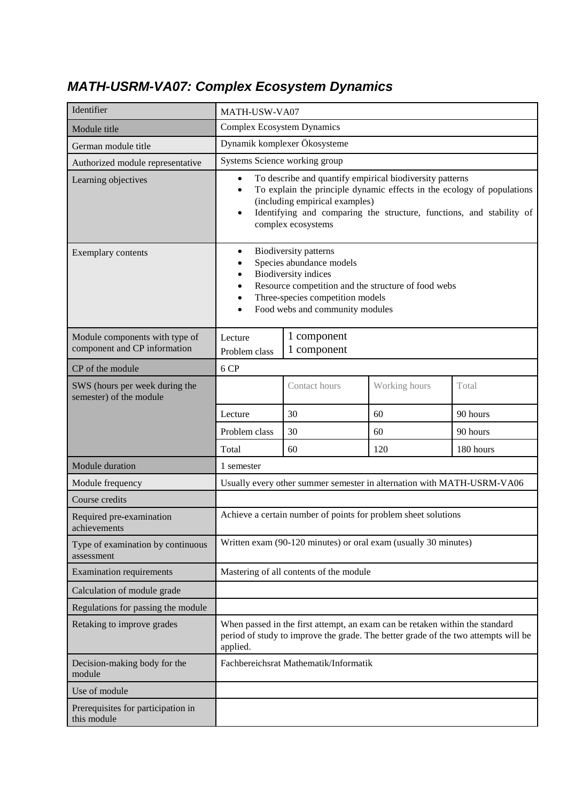#### *MATH-USRM-VA07: Complex Ecosystem Dynamics*

| Identifier                                                     | MATH-USW-VA07                                                                                                                                                                                                                                                                                             |                                                                        |               |           |
|----------------------------------------------------------------|-----------------------------------------------------------------------------------------------------------------------------------------------------------------------------------------------------------------------------------------------------------------------------------------------------------|------------------------------------------------------------------------|---------------|-----------|
| Module title                                                   | <b>Complex Ecosystem Dynamics</b>                                                                                                                                                                                                                                                                         |                                                                        |               |           |
| German module title                                            |                                                                                                                                                                                                                                                                                                           | Dynamik komplexer Ökosysteme                                           |               |           |
| Authorized module representative                               | Systems Science working group                                                                                                                                                                                                                                                                             |                                                                        |               |           |
| Learning objectives                                            | To describe and quantify empirical biodiversity patterns<br>$\bullet$<br>To explain the principle dynamic effects in the ecology of populations<br>$\bullet$<br>(including empirical examples)<br>Identifying and comparing the structure, functions, and stability of<br>$\bullet$<br>complex ecosystems |                                                                        |               |           |
| Exemplary contents                                             | Biodiversity patterns<br>$\bullet$<br>Species abundance models<br><b>Biodiversity</b> indices<br>$\bullet$<br>Resource competition and the structure of food webs<br>Three-species competition models<br>Food webs and community modules<br>$\bullet$                                                     |                                                                        |               |           |
| Module components with type of<br>component and CP information | 1 component<br>Lecture<br>1 component<br>Problem class                                                                                                                                                                                                                                                    |                                                                        |               |           |
| CP of the module                                               | 6 CP                                                                                                                                                                                                                                                                                                      |                                                                        |               |           |
| SWS (hours per week during the<br>semester) of the module      |                                                                                                                                                                                                                                                                                                           | Contact hours                                                          | Working hours | Total     |
|                                                                | 30<br>60<br>Lecture                                                                                                                                                                                                                                                                                       |                                                                        |               | 90 hours  |
|                                                                | Problem class                                                                                                                                                                                                                                                                                             | 30                                                                     | 60            | 90 hours  |
|                                                                | Total                                                                                                                                                                                                                                                                                                     | 60                                                                     | 120           | 180 hours |
| Module duration                                                | 1 semester                                                                                                                                                                                                                                                                                                |                                                                        |               |           |
| Module frequency                                               |                                                                                                                                                                                                                                                                                                           | Usually every other summer semester in alternation with MATH-USRM-VA06 |               |           |
| Course credits                                                 |                                                                                                                                                                                                                                                                                                           |                                                                        |               |           |
| Required pre-examination<br>achievements                       |                                                                                                                                                                                                                                                                                                           | Achieve a certain number of points for problem sheet solutions         |               |           |
| Type of examination by continuous<br>assessment                |                                                                                                                                                                                                                                                                                                           | Written exam (90-120 minutes) or oral exam (usually 30 minutes)        |               |           |
| <b>Examination requirements</b>                                |                                                                                                                                                                                                                                                                                                           | Mastering of all contents of the module                                |               |           |
| Calculation of module grade                                    |                                                                                                                                                                                                                                                                                                           |                                                                        |               |           |
| Regulations for passing the module                             |                                                                                                                                                                                                                                                                                                           |                                                                        |               |           |
| Retaking to improve grades                                     | When passed in the first attempt, an exam can be retaken within the standard<br>period of study to improve the grade. The better grade of the two attempts will be<br>applied.                                                                                                                            |                                                                        |               |           |
| Decision-making body for the<br>module                         |                                                                                                                                                                                                                                                                                                           | Fachbereichsrat Mathematik/Informatik                                  |               |           |
| Use of module                                                  |                                                                                                                                                                                                                                                                                                           |                                                                        |               |           |
| Prerequisites for participation in<br>this module              |                                                                                                                                                                                                                                                                                                           |                                                                        |               |           |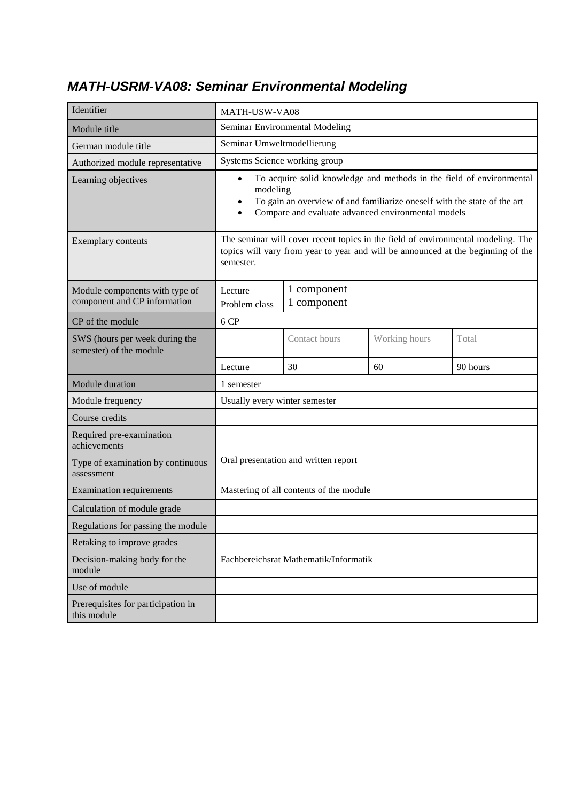#### *MATH-USRM-VA08: Seminar Environmental Modeling*

| Identifier                                                     | MATH-USW-VA08                                                                                                                                                                                                                                             |                                         |               |          |
|----------------------------------------------------------------|-----------------------------------------------------------------------------------------------------------------------------------------------------------------------------------------------------------------------------------------------------------|-----------------------------------------|---------------|----------|
| Module title                                                   | Seminar Environmental Modeling                                                                                                                                                                                                                            |                                         |               |          |
| German module title                                            | Seminar Umweltmodellierung                                                                                                                                                                                                                                |                                         |               |          |
| Authorized module representative                               | Systems Science working group                                                                                                                                                                                                                             |                                         |               |          |
| Learning objectives                                            | To acquire solid knowledge and methods in the field of environmental<br>$\bullet$<br>modeling<br>To gain an overview of and familiarize oneself with the state of the art<br>$\bullet$<br>Compare and evaluate advanced environmental models<br>$\bullet$ |                                         |               |          |
| Exemplary contents                                             | The seminar will cover recent topics in the field of environmental modeling. The<br>topics will vary from year to year and will be announced at the beginning of the<br>semester.                                                                         |                                         |               |          |
| Module components with type of<br>component and CP information | 1 component<br>Lecture<br>1 component<br>Problem class                                                                                                                                                                                                    |                                         |               |          |
| CP of the module                                               | 6 CP                                                                                                                                                                                                                                                      |                                         |               |          |
| SWS (hours per week during the<br>semester) of the module      |                                                                                                                                                                                                                                                           | Contact hours                           | Working hours | Total    |
|                                                                | Lecture                                                                                                                                                                                                                                                   | 30                                      | 60            | 90 hours |
| Module duration                                                | 1 semester                                                                                                                                                                                                                                                |                                         |               |          |
| Module frequency                                               | Usually every winter semester                                                                                                                                                                                                                             |                                         |               |          |
| Course credits                                                 |                                                                                                                                                                                                                                                           |                                         |               |          |
| Required pre-examination<br>achievements                       |                                                                                                                                                                                                                                                           |                                         |               |          |
| Type of examination by continuous<br>assessment                |                                                                                                                                                                                                                                                           | Oral presentation and written report    |               |          |
| <b>Examination requirements</b>                                |                                                                                                                                                                                                                                                           | Mastering of all contents of the module |               |          |
| Calculation of module grade                                    |                                                                                                                                                                                                                                                           |                                         |               |          |
| Regulations for passing the module                             |                                                                                                                                                                                                                                                           |                                         |               |          |
| Retaking to improve grades                                     |                                                                                                                                                                                                                                                           |                                         |               |          |
| Decision-making body for the<br>module                         | Fachbereichsrat Mathematik/Informatik                                                                                                                                                                                                                     |                                         |               |          |
| Use of module                                                  |                                                                                                                                                                                                                                                           |                                         |               |          |
| Prerequisites for participation in<br>this module              |                                                                                                                                                                                                                                                           |                                         |               |          |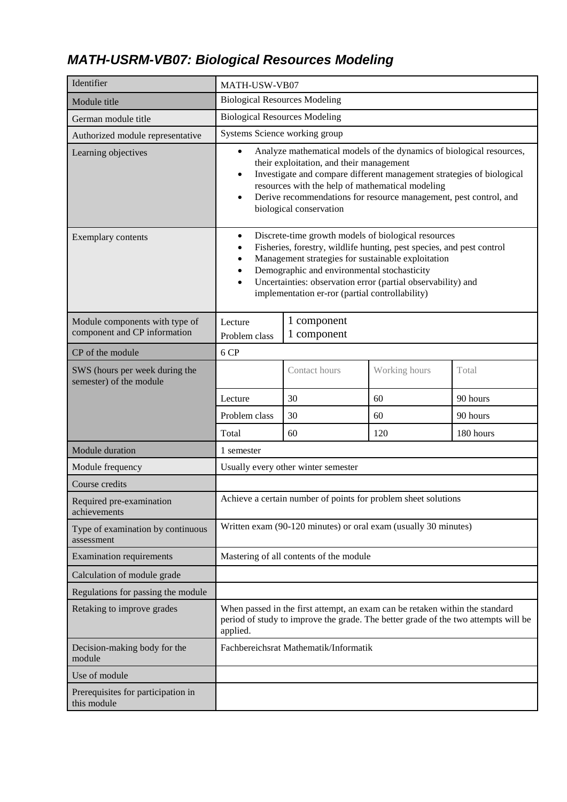## *MATH-USRM-VB07: Biological Resources Modeling*

| Identifier                                                     | MATH-USW-VB07                                                                                                                                                                                                                                                                                                                                                                                                 |                                                                 |     |           |  |
|----------------------------------------------------------------|---------------------------------------------------------------------------------------------------------------------------------------------------------------------------------------------------------------------------------------------------------------------------------------------------------------------------------------------------------------------------------------------------------------|-----------------------------------------------------------------|-----|-----------|--|
| Module title                                                   | <b>Biological Resources Modeling</b>                                                                                                                                                                                                                                                                                                                                                                          |                                                                 |     |           |  |
| German module title                                            | <b>Biological Resources Modeling</b>                                                                                                                                                                                                                                                                                                                                                                          |                                                                 |     |           |  |
| Authorized module representative                               |                                                                                                                                                                                                                                                                                                                                                                                                               | Systems Science working group                                   |     |           |  |
| Learning objectives                                            | Analyze mathematical models of the dynamics of biological resources,<br>$\bullet$<br>their exploitation, and their management<br>Investigate and compare different management strategies of biological<br>$\bullet$<br>resources with the help of mathematical modeling<br>Derive recommendations for resource management, pest control, and<br>$\bullet$<br>biological conservation                          |                                                                 |     |           |  |
| Exemplary contents                                             | Discrete-time growth models of biological resources<br>$\bullet$<br>Fisheries, forestry, wildlife hunting, pest species, and pest control<br>$\bullet$<br>Management strategies for sustainable exploitation<br>$\bullet$<br>Demographic and environmental stochasticity<br>٠<br>Uncertainties: observation error (partial observability) and<br>$\bullet$<br>implementation er-ror (partial controllability) |                                                                 |     |           |  |
| Module components with type of<br>component and CP information | 1 component<br>Lecture<br>1 component<br>Problem class                                                                                                                                                                                                                                                                                                                                                        |                                                                 |     |           |  |
| CP of the module                                               | 6 CP                                                                                                                                                                                                                                                                                                                                                                                                          |                                                                 |     |           |  |
| SWS (hours per week during the<br>semester) of the module      |                                                                                                                                                                                                                                                                                                                                                                                                               | Contact hours<br>Working hours<br>Total                         |     |           |  |
|                                                                | 30<br>60<br>90 hours<br>Lecture                                                                                                                                                                                                                                                                                                                                                                               |                                                                 |     |           |  |
|                                                                | Problem class                                                                                                                                                                                                                                                                                                                                                                                                 | 30                                                              | 60  | 90 hours  |  |
|                                                                | Total                                                                                                                                                                                                                                                                                                                                                                                                         | 60                                                              | 120 | 180 hours |  |
| Module duration                                                | 1 semester                                                                                                                                                                                                                                                                                                                                                                                                    |                                                                 |     |           |  |
| Module frequency                                               |                                                                                                                                                                                                                                                                                                                                                                                                               | Usually every other winter semester                             |     |           |  |
| Course credits                                                 |                                                                                                                                                                                                                                                                                                                                                                                                               |                                                                 |     |           |  |
| Required pre-examination<br>achievements                       |                                                                                                                                                                                                                                                                                                                                                                                                               | Achieve a certain number of points for problem sheet solutions  |     |           |  |
| Type of examination by continuous<br>assessment                |                                                                                                                                                                                                                                                                                                                                                                                                               | Written exam (90-120 minutes) or oral exam (usually 30 minutes) |     |           |  |
| <b>Examination requirements</b>                                |                                                                                                                                                                                                                                                                                                                                                                                                               | Mastering of all contents of the module                         |     |           |  |
| Calculation of module grade                                    |                                                                                                                                                                                                                                                                                                                                                                                                               |                                                                 |     |           |  |
| Regulations for passing the module                             |                                                                                                                                                                                                                                                                                                                                                                                                               |                                                                 |     |           |  |
| Retaking to improve grades                                     | When passed in the first attempt, an exam can be retaken within the standard<br>period of study to improve the grade. The better grade of the two attempts will be<br>applied.                                                                                                                                                                                                                                |                                                                 |     |           |  |
| Decision-making body for the<br>module                         |                                                                                                                                                                                                                                                                                                                                                                                                               | Fachbereichsrat Mathematik/Informatik                           |     |           |  |
| Use of module                                                  |                                                                                                                                                                                                                                                                                                                                                                                                               |                                                                 |     |           |  |
| Prerequisites for participation in<br>this module              |                                                                                                                                                                                                                                                                                                                                                                                                               |                                                                 |     |           |  |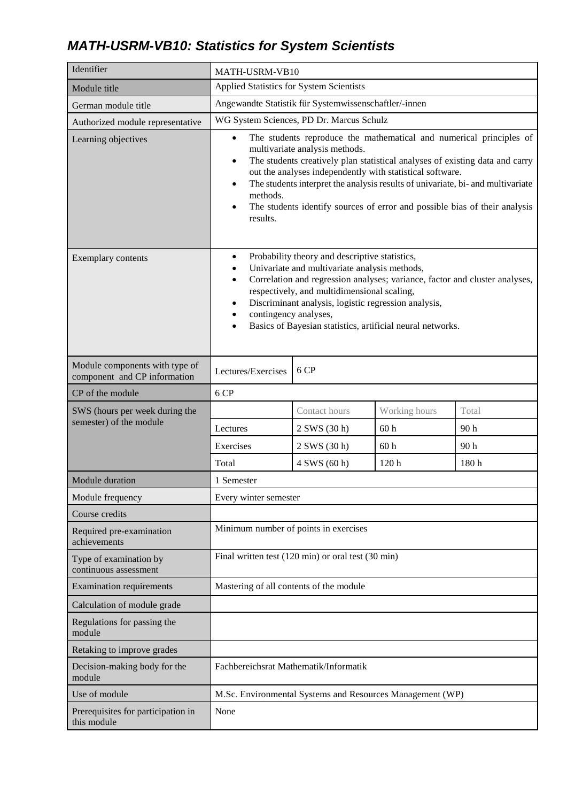## *MATH-USRM-VB10: Statistics for System Scientists*

| Identifier                                                     | MATH-USRM-VB10                                                                                                                                                                                                                                                                                                                                                                                                                                                                     |               |                 |       |
|----------------------------------------------------------------|------------------------------------------------------------------------------------------------------------------------------------------------------------------------------------------------------------------------------------------------------------------------------------------------------------------------------------------------------------------------------------------------------------------------------------------------------------------------------------|---------------|-----------------|-------|
| Module title                                                   | Applied Statistics for System Scientists                                                                                                                                                                                                                                                                                                                                                                                                                                           |               |                 |       |
| German module title                                            | Angewandte Statistik für Systemwissenschaftler/-innen                                                                                                                                                                                                                                                                                                                                                                                                                              |               |                 |       |
| Authorized module representative                               | WG System Sciences, PD Dr. Marcus Schulz                                                                                                                                                                                                                                                                                                                                                                                                                                           |               |                 |       |
| Learning objectives                                            | The students reproduce the mathematical and numerical principles of<br>$\bullet$<br>multivariate analysis methods.<br>The students creatively plan statistical analyses of existing data and carry<br>$\bullet$<br>out the analyses independently with statistical software.<br>The students interpret the analysis results of univariate, bi- and multivariate<br>$\bullet$<br>methods.<br>The students identify sources of error and possible bias of their analysis<br>results. |               |                 |       |
| Exemplary contents                                             | Probability theory and descriptive statistics,<br>Univariate and multivariate analysis methods,<br>Correlation and regression analyses; variance, factor and cluster analyses,<br>$\bullet$<br>respectively, and multidimensional scaling,<br>Discriminant analysis, logistic regression analysis,<br>contingency analyses,<br>Basics of Bayesian statistics, artificial neural networks.                                                                                          |               |                 |       |
| Module components with type of<br>component and CP information | 6 CP<br>Lectures/Exercises                                                                                                                                                                                                                                                                                                                                                                                                                                                         |               |                 |       |
| CP of the module                                               | 6 CP                                                                                                                                                                                                                                                                                                                                                                                                                                                                               |               |                 |       |
| SWS (hours per week during the<br>semester) of the module      |                                                                                                                                                                                                                                                                                                                                                                                                                                                                                    | Contact hours | Working hours   | Total |
|                                                                | Lectures                                                                                                                                                                                                                                                                                                                                                                                                                                                                           | 2 SWS (30 h)  | 60 <sub>h</sub> | 90h   |
|                                                                | Exercises                                                                                                                                                                                                                                                                                                                                                                                                                                                                          | 2 SWS (30 h)  | 60 <sub>h</sub> | 90h   |
|                                                                | Total                                                                                                                                                                                                                                                                                                                                                                                                                                                                              | 4 SWS (60 h)  | 120h            | 180h  |
| Module duration                                                | 1 Semester                                                                                                                                                                                                                                                                                                                                                                                                                                                                         |               |                 |       |
| Module frequency                                               | Every winter semester                                                                                                                                                                                                                                                                                                                                                                                                                                                              |               |                 |       |
| Course credits                                                 |                                                                                                                                                                                                                                                                                                                                                                                                                                                                                    |               |                 |       |
| Required pre-examination<br>achievements                       | Minimum number of points in exercises                                                                                                                                                                                                                                                                                                                                                                                                                                              |               |                 |       |
| Type of examination by<br>continuous assessment                | Final written test $(120 \text{ min})$ or oral test $(30 \text{ min})$                                                                                                                                                                                                                                                                                                                                                                                                             |               |                 |       |
| <b>Examination requirements</b>                                | Mastering of all contents of the module                                                                                                                                                                                                                                                                                                                                                                                                                                            |               |                 |       |
| Calculation of module grade                                    |                                                                                                                                                                                                                                                                                                                                                                                                                                                                                    |               |                 |       |
| Regulations for passing the<br>module                          |                                                                                                                                                                                                                                                                                                                                                                                                                                                                                    |               |                 |       |
| Retaking to improve grades                                     |                                                                                                                                                                                                                                                                                                                                                                                                                                                                                    |               |                 |       |
| Decision-making body for the<br>module                         | Fachbereichsrat Mathematik/Informatik                                                                                                                                                                                                                                                                                                                                                                                                                                              |               |                 |       |
| Use of module                                                  | M.Sc. Environmental Systems and Resources Management (WP)                                                                                                                                                                                                                                                                                                                                                                                                                          |               |                 |       |
| Prerequisites for participation in<br>this module              | None                                                                                                                                                                                                                                                                                                                                                                                                                                                                               |               |                 |       |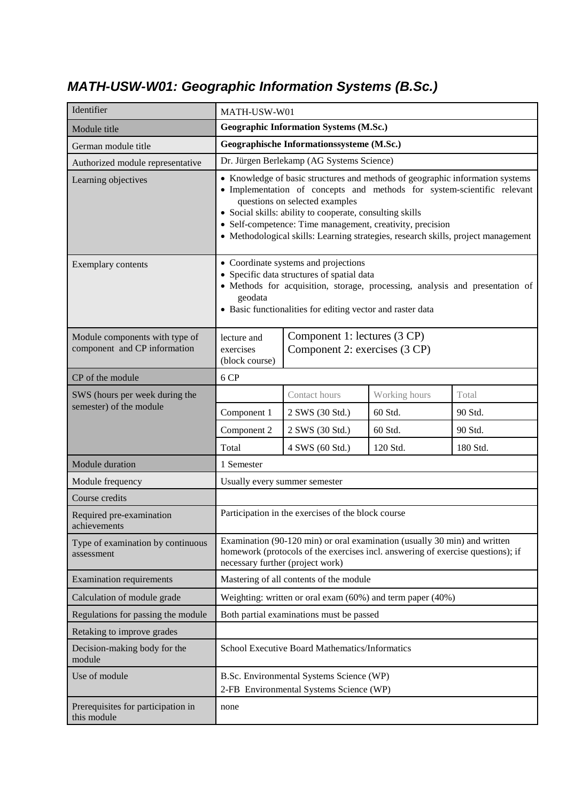# *MATH-USW-W01: Geographic Information Systems (B.Sc.)*

| Identifier                                                     | MATH-USW-W01                                                                                                                                                                                                                                                                                                                                                                                             |                                                               |               |          |
|----------------------------------------------------------------|----------------------------------------------------------------------------------------------------------------------------------------------------------------------------------------------------------------------------------------------------------------------------------------------------------------------------------------------------------------------------------------------------------|---------------------------------------------------------------|---------------|----------|
| Module title                                                   | <b>Geographic Information Systems (M.Sc.)</b>                                                                                                                                                                                                                                                                                                                                                            |                                                               |               |          |
| German module title                                            | Geographische Informationssysteme (M.Sc.)                                                                                                                                                                                                                                                                                                                                                                |                                                               |               |          |
| Authorized module representative                               | Dr. Jürgen Berlekamp (AG Systems Science)                                                                                                                                                                                                                                                                                                                                                                |                                                               |               |          |
| Learning objectives                                            | • Knowledge of basic structures and methods of geographic information systems<br>· Implementation of concepts and methods for system-scientific relevant<br>questions on selected examples<br>• Social skills: ability to cooperate, consulting skills<br>• Self-competence: Time management, creativity, precision<br>• Methodological skills: Learning strategies, research skills, project management |                                                               |               |          |
| Exemplary contents                                             | • Coordinate systems and projections<br>• Specific data structures of spatial data<br>· Methods for acquisition, storage, processing, analysis and presentation of<br>geodata<br>• Basic functionalities for editing vector and raster data                                                                                                                                                              |                                                               |               |          |
| Module components with type of<br>component and CP information | lecture and<br>exercises<br>(block course)                                                                                                                                                                                                                                                                                                                                                               | Component 1: lectures (3 CP)<br>Component 2: exercises (3 CP) |               |          |
| CP of the module                                               | 6 CP                                                                                                                                                                                                                                                                                                                                                                                                     |                                                               |               |          |
| SWS (hours per week during the<br>semester) of the module      |                                                                                                                                                                                                                                                                                                                                                                                                          | Contact hours                                                 | Working hours | Total    |
|                                                                | Component 1                                                                                                                                                                                                                                                                                                                                                                                              | 2 SWS (30 Std.)                                               | 60 Std.       | 90 Std.  |
|                                                                | Component 2                                                                                                                                                                                                                                                                                                                                                                                              | 2 SWS (30 Std.)                                               | 60 Std.       | 90 Std.  |
|                                                                | Total                                                                                                                                                                                                                                                                                                                                                                                                    | 4 SWS (60 Std.)                                               | 120 Std.      | 180 Std. |
| Module duration                                                | 1 Semester                                                                                                                                                                                                                                                                                                                                                                                               |                                                               |               |          |
| Module frequency                                               | Usually every summer semester                                                                                                                                                                                                                                                                                                                                                                            |                                                               |               |          |
| Course credits                                                 |                                                                                                                                                                                                                                                                                                                                                                                                          |                                                               |               |          |
| Required pre-examination<br>achievements                       | Participation in the exercises of the block course                                                                                                                                                                                                                                                                                                                                                       |                                                               |               |          |
| Type of examination by continuous<br>assessment                | Examination (90-120 min) or oral examination (usually 30 min) and written<br>homework (protocols of the exercises incl. answering of exercise questions); if<br>necessary further (project work)                                                                                                                                                                                                         |                                                               |               |          |
| <b>Examination requirements</b>                                | Mastering of all contents of the module                                                                                                                                                                                                                                                                                                                                                                  |                                                               |               |          |
| Calculation of module grade                                    | Weighting: written or oral exam $(60\%)$ and term paper $(40\%)$                                                                                                                                                                                                                                                                                                                                         |                                                               |               |          |
| Regulations for passing the module                             | Both partial examinations must be passed                                                                                                                                                                                                                                                                                                                                                                 |                                                               |               |          |
| Retaking to improve grades                                     |                                                                                                                                                                                                                                                                                                                                                                                                          |                                                               |               |          |
| Decision-making body for the<br>module                         | School Executive Board Mathematics/Informatics                                                                                                                                                                                                                                                                                                                                                           |                                                               |               |          |
| Use of module                                                  | B.Sc. Environmental Systems Science (WP)<br>2-FB Environmental Systems Science (WP)                                                                                                                                                                                                                                                                                                                      |                                                               |               |          |
| Prerequisites for participation in<br>this module              | none                                                                                                                                                                                                                                                                                                                                                                                                     |                                                               |               |          |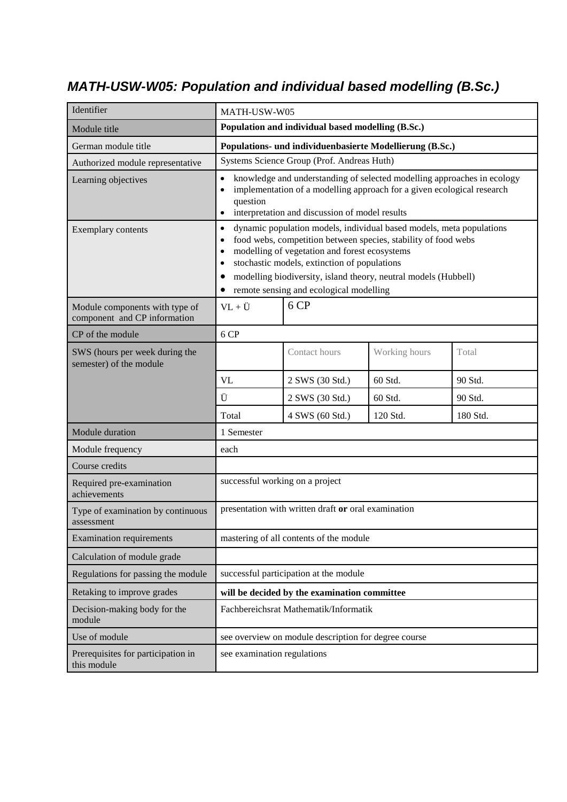#### *MATH-USW-W05: Population and individual based modelling (B.Sc.)*

| Identifier                                                     | MATH-USW-W05                                                                                                                                                                                                                                                                                                                                                                 |                                                   |               |          |
|----------------------------------------------------------------|------------------------------------------------------------------------------------------------------------------------------------------------------------------------------------------------------------------------------------------------------------------------------------------------------------------------------------------------------------------------------|---------------------------------------------------|---------------|----------|
| Module title                                                   |                                                                                                                                                                                                                                                                                                                                                                              | Population and individual based modelling (B.Sc.) |               |          |
| German module title                                            | Populations- und individuenbasierte Modellierung (B.Sc.)                                                                                                                                                                                                                                                                                                                     |                                                   |               |          |
| Authorized module representative                               | Systems Science Group (Prof. Andreas Huth)                                                                                                                                                                                                                                                                                                                                   |                                                   |               |          |
| Learning objectives                                            | knowledge and understanding of selected modelling approaches in ecology<br>implementation of a modelling approach for a given ecological research<br>$\bullet$<br>question<br>interpretation and discussion of model results<br>$\bullet$                                                                                                                                    |                                                   |               |          |
| Exemplary contents                                             | dynamic population models, individual based models, meta populations<br>$\bullet$<br>food webs, competition between species, stability of food webs<br>modelling of vegetation and forest ecosystems<br>٠<br>stochastic models, extinction of populations<br>٠<br>modelling biodiversity, island theory, neutral models (Hubbell)<br>remote sensing and ecological modelling |                                                   |               |          |
| Module components with type of<br>component and CP information | $VL + U$                                                                                                                                                                                                                                                                                                                                                                     | 6 CP                                              |               |          |
| CP of the module                                               | 6 CP                                                                                                                                                                                                                                                                                                                                                                         |                                                   |               |          |
| SWS (hours per week during the<br>semester) of the module      |                                                                                                                                                                                                                                                                                                                                                                              | Contact hours                                     | Working hours | Total    |
|                                                                | VL                                                                                                                                                                                                                                                                                                                                                                           | 2 SWS (30 Std.)                                   | 60 Std.       | 90 Std.  |
|                                                                | Ü                                                                                                                                                                                                                                                                                                                                                                            | 2 SWS (30 Std.)                                   | 60 Std.       | 90 Std.  |
|                                                                | Total                                                                                                                                                                                                                                                                                                                                                                        | 4 SWS (60 Std.)                                   | 120 Std.      | 180 Std. |
| Module duration                                                | 1 Semester                                                                                                                                                                                                                                                                                                                                                                   |                                                   |               |          |
| Module frequency                                               | each                                                                                                                                                                                                                                                                                                                                                                         |                                                   |               |          |
| Course credits                                                 |                                                                                                                                                                                                                                                                                                                                                                              |                                                   |               |          |
| Required pre-examination<br>achievements                       | successful working on a project                                                                                                                                                                                                                                                                                                                                              |                                                   |               |          |
| Type of examination by continuous<br>assessment                | presentation with written draft or oral examination                                                                                                                                                                                                                                                                                                                          |                                                   |               |          |
| <b>Examination requirements</b>                                | mastering of all contents of the module                                                                                                                                                                                                                                                                                                                                      |                                                   |               |          |
| Calculation of module grade                                    |                                                                                                                                                                                                                                                                                                                                                                              |                                                   |               |          |
| Regulations for passing the module                             | successful participation at the module                                                                                                                                                                                                                                                                                                                                       |                                                   |               |          |
| Retaking to improve grades                                     | will be decided by the examination committee                                                                                                                                                                                                                                                                                                                                 |                                                   |               |          |
| Decision-making body for the<br>module                         | Fachbereichsrat Mathematik/Informatik                                                                                                                                                                                                                                                                                                                                        |                                                   |               |          |
| Use of module                                                  | see overview on module description for degree course                                                                                                                                                                                                                                                                                                                         |                                                   |               |          |
| Prerequisites for participation in<br>this module              | see examination regulations                                                                                                                                                                                                                                                                                                                                                  |                                                   |               |          |